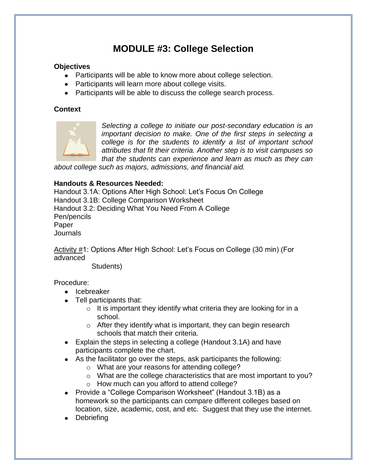## **MODULE #3: College Selection**

#### **Objectives**

- Participants will be able to know more about college selection.
- Participants will learn more about college visits.
- Participants will be able to discuss the college search process.

#### **Context**



*Selecting a college to initiate our post-secondary education is an important decision to make. One of the first steps in selecting a college is for the students to identify a list of important school attributes that fit their criteria. Another step is to visit campuses so that the students can experience and learn as much as they can* 

*about college such as majors, admissions, and financial aid.* 

#### **Handouts & Resources Needed:**

Handout 3.1A: Options After High School: Let's Focus On College Handout 3.1B: College Comparison Worksheet Handout 3.2: Deciding What You Need From A College Pen/pencils Paper Journals

Activity #1: Options After High School: Let's Focus on College (30 min) (For advanced

Students)

Procedure:

- Icebreaker
- Tell participants that:
	- $\circ$  It is important they identify what criteria they are looking for in a school.
	- $\circ$  After they identify what is important, they can begin research schools that match their criteria.
- Explain the steps in selecting a college (Handout 3.1A) and have participants complete the chart.
- As the facilitator go over the steps, ask participants the following:
	- o What are your reasons for attending college?
	- o What are the college characteristics that are most important to you?
	- o How much can you afford to attend college?
- Provide a "College Comparison Worksheet" (Handout 3.1B) as a homework so the participants can compare different colleges based on location, size, academic, cost, and etc. Suggest that they use the internet.
- Debriefing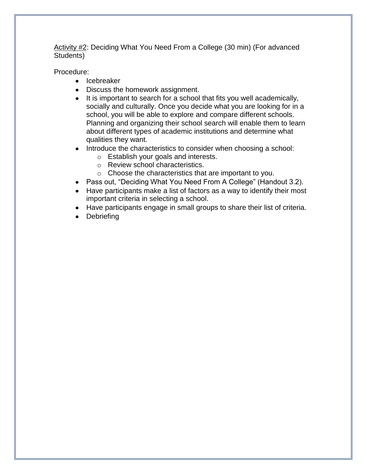Activity #2: Deciding What You Need From a College (30 min) (For advanced Students)

Procedure:

- Icebreaker
- Discuss the homework assignment.
- $\bullet$  It is important to search for a school that fits you well academically, socially and culturally. Once you decide what you are looking for in a school, you will be able to explore and compare different schools. Planning and organizing their school search will enable them to learn about different types of academic institutions and determine what qualities they want.
- Introduce the characteristics to consider when choosing a school:
	- o Establish your goals and interests.
	- o Review school characteristics.
	- o Choose the characteristics that are important to you.
- Pass out, "Deciding What You Need From A College" (Handout 3.2).
- Have participants make a list of factors as a way to identify their most important criteria in selecting a school.
- Have participants engage in small groups to share their list of criteria.
- **Debriefing**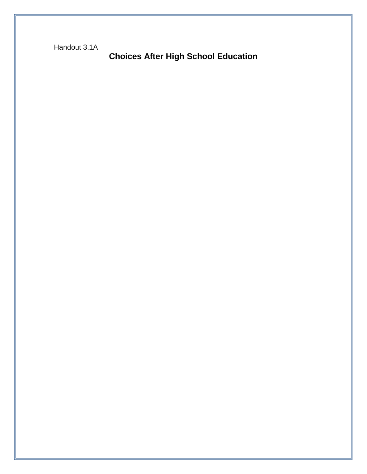Handout 3.1A

**Choices After High School Education**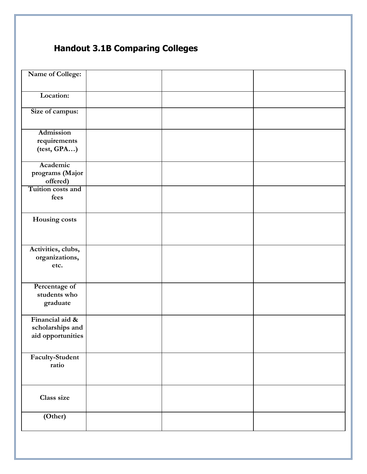# **Handout 3.1B Comparing Colleges**

| Name of College:              |  |  |
|-------------------------------|--|--|
|                               |  |  |
| Location:                     |  |  |
|                               |  |  |
| Size of campus:               |  |  |
|                               |  |  |
| <b>Admission</b>              |  |  |
| requirements                  |  |  |
| (test, GPA)                   |  |  |
|                               |  |  |
| Academic                      |  |  |
| programs (Major               |  |  |
| offered)                      |  |  |
| Tuition costs and<br>fees     |  |  |
|                               |  |  |
|                               |  |  |
| Housing costs                 |  |  |
|                               |  |  |
|                               |  |  |
| Activities, clubs,            |  |  |
| organizations,                |  |  |
| etc.                          |  |  |
|                               |  |  |
|                               |  |  |
| Percentage of<br>students who |  |  |
| graduate                      |  |  |
|                               |  |  |
| Financial aid &               |  |  |
| scholarships and              |  |  |
| aid opportunities             |  |  |
|                               |  |  |
| Faculty-Student               |  |  |
| ratio                         |  |  |
|                               |  |  |
|                               |  |  |
|                               |  |  |
| Class size                    |  |  |
|                               |  |  |
| (Other)                       |  |  |
|                               |  |  |
|                               |  |  |
|                               |  |  |